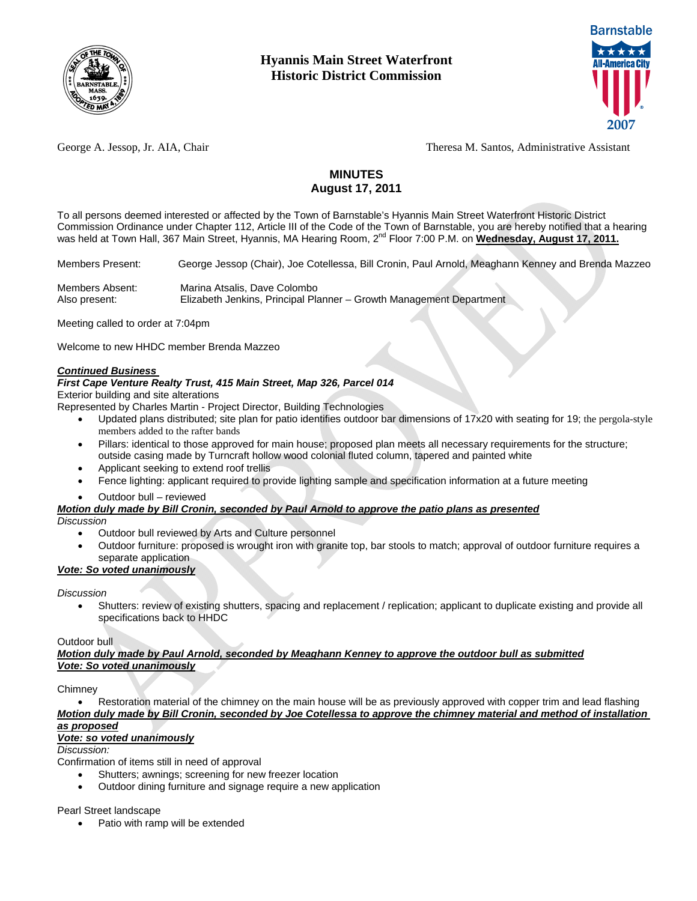



George A. Jessop, Jr. AIA, Chair Theresa M. Santos, Administrative Assistant

# **MINUTES August 17, 2011**

To all persons deemed interested or affected by the Town of Barnstable's Hyannis Main Street Waterfront Historic District Commission Ordinance under Chapter 112, Article III of the Code of the Town of Barnstable, you are hereby notified that a hearing was held at Town Hall, 367 Main Street, Hyannis, MA Hearing Room, 2<sup>nd</sup> Floor 7:00 P.M. on Wednesday, August 17, 2011.

Members Present:George Jessop (Chair), Joe Cotellessa, Bill Cronin, Paul Arnold, Meaghann Kenney and Brenda Mazzeo

Members Absent:Marina Atsalis, Dave Colombo Also present: Elizabeth Jenkins, Principal Planner – Growth Management Department

Meeting called to order at 7:04pm

Welcome to new HHDC member Brenda Mazzeo

#### *Continued Business*

## *First Cape Venture Realty Trust, 415 Main Street, Map 326, Parcel 014*

Exterior building and site alterations

Represented by Charles Martin - Project Director, Building Technologies

- Updated plans distributed; site plan for patio identifies outdoor bar dimensions of 17x20 with seating for 19; the pergola-style members added to the rafter bands
- Pillars: identical to those approved for main house; proposed plan meets all necessary requirements for the structure; outside casing made by Turncraft hollow wood colonial fluted column, tapered and painted white
- Applicant seeking to extend roof trellis
- Fence lighting: applicant required to provide lighting sample and specification information at a future meeting
- Outdoor bull reviewed

# *Motion duly made by Bill Cronin, seconded by Paul Arnold to approve the patio plans as presented*

*Discussion* 

- Outdoor bull reviewed by Arts and Culture personnel
- Outdoor furniture: proposed is wrought iron with granite top, bar stools to match; approval of outdoor furniture requires a separate application

# *Vote: So voted unanimously*

## *Discussion*

 Shutters: review of existing shutters, spacing and replacement / replication; applicant to duplicate existing and provide all specifications back to HHDC

## Outdoor bull

*Motion duly made by Paul Arnold, seconded by Meaghann Kenney to approve the outdoor bull as submitted Vote: So voted unanimously*

#### Chimney

 Restoration material of the chimney on the main house will be as previously approved with copper trim and lead flashing *Motion duly made by Bill Cronin, seconded by Joe Cotellessa to approve the chimney material and method of installation as proposed*

# *Vote: so voted unanimously*

## *Discussion:*

Confirmation of items still in need of approval

- Shutters; awnings; screening for new freezer location
- Outdoor dining furniture and signage require a new application

Pearl Street landscape

Patio with ramp will be extended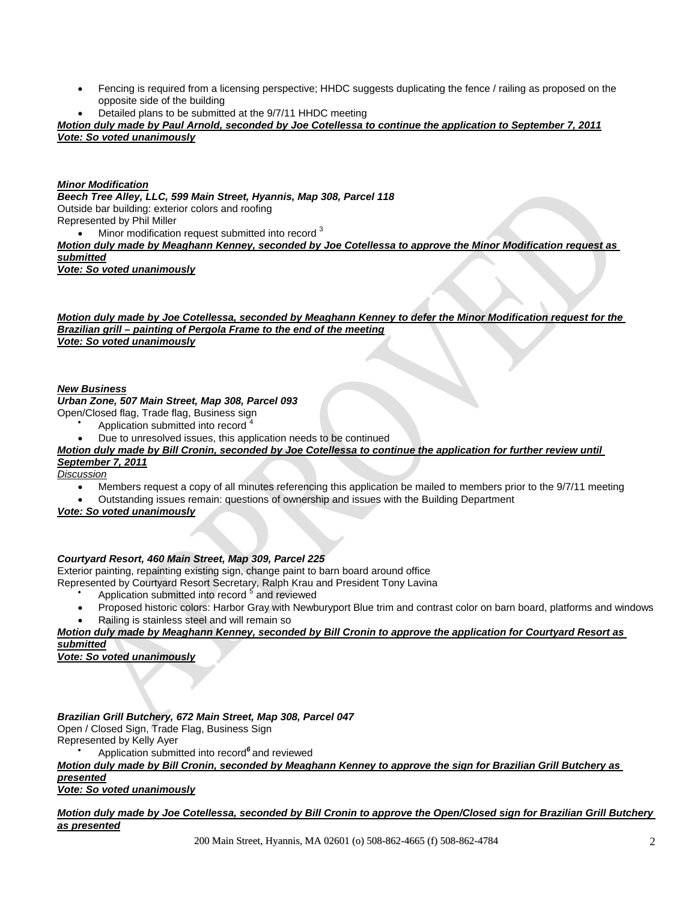- Fencing is required from a licensing perspective; HHDC suggests duplicating the fence / railing as proposed on the opposite side of the building
- Detailed plans to be submitted at the 9/7/11 HHDC meeting

*Motion duly made by Paul Arnold, seconded by Joe Cotellessa to continue the application to September 7, 2011 Vote: So voted unanimously*

#### *Minor Modification*

*Beech Tree Alley, LLC, 599 Main Street, Hyannis, Map 308, Parcel 118*  Outside bar building: exterior colors and roofing Represented by Phil Miller  $\bullet$  Minor modification request submitted into record  $3$ 

*Motion duly made by Meaghann Kenney, seconded by Joe Cotellessa to approve the Minor Modification request as submitted*

*Vote: So voted unanimously*

*Motion duly made by Joe Cotellessa, seconded by Meaghann Kenney to defer the Minor Modification request for the Brazilian grill – painting of Pergola Frame to the end of the meeting Vote: So voted unanimously*

#### *New Business*

# *Urban Zone, 507 Main Street, Map 308, Parcel 093*

Open/Closed flag, Trade flag, Business sign

- $\bullet$ Application submitted into record <sup>4</sup>
- Due to unresolved issues, this application needs to be continued

# *Motion duly made by Bill Cronin, seconded by Joe Cotellessa to continue the application for further review until September 7, 2011*

# *Discussion*

- Members request a copy of all minutes referencing this application be mailed to members prior to the 9/7/11 meeting
- Outstanding issues remain: questions of ownership and issues with the Building Department

*Vote: So voted unanimously*

# *Courtyard Resort, 460 Main Street, Map 309, Parcel 225*

Exterior painting, repainting existing sign, change paint to barn board around office

- Represented by Courtyard Resort Secretary, Ralph Krau and President Tony Lavina
	- $\bullet$ Application submitted into record <sup>5</sup> and reviewed
	- Proposed historic colors: Harbor Gray with Newburyport Blue trim and contrast color on barn board, platforms and windows Railing is stainless steel and will remain so
	-

*Motion duly made by Meaghann Kenney, seconded by Bill Cronin to approve the application for Courtyard Resort as* 

*submitted Vote: So voted unanimously*

*Brazilian Grill Butchery, 672 Main Street, Map 308, Parcel 047* 

Open / Closed Sign, Trade Flag, Business Sign

Represented by Kelly Ayer

 $\bullet$ Application submitted into record*<sup>6</sup>*and reviewed

*Motion duly made by Bill Cronin, seconded by Meaghann Kenney to approve the sign for Brazilian Grill Butchery as presented*

*Vote: So voted unanimously*

## *Motion duly made by Joe Cotellessa, seconded by Bill Cronin to approve the Open/Closed sign for Brazilian Grill Butchery as presented*